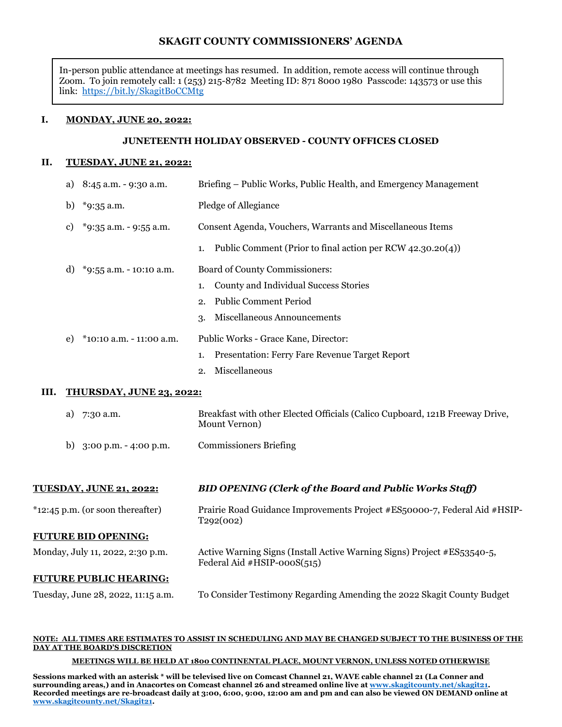## **SKAGIT COUNTY COMMISSIONERS' AGENDA**

In-person public attendance at meetings has resumed. In addition, remote access will continue through Zoom. To join remotely call: 1 (253) 215-8782 Meeting ID: 871 8000 1980 Passcode: 143573 or use this link:<https://bit.ly/SkagitBoCCMtg>

#### **I. MONDAY, JUNE 20, 2022:**

#### **JUNETEENTH HOLIDAY OBSERVED - COUNTY OFFICES CLOSED**

#### **II. TUESDAY, JUNE 21, 2022:**

|    | a)                              | 8:45 a.m. - 9:30 a.m.    | Briefing – Public Works, Public Health, and Emergency Management                              |
|----|---------------------------------|--------------------------|-----------------------------------------------------------------------------------------------|
|    | b)                              | $*9:35$ a.m.             | Pledge of Allegiance                                                                          |
|    | c)                              | *9:35 a.m. - 9:55 a.m.   | Consent Agenda, Vouchers, Warrants and Miscellaneous Items                                    |
|    |                                 |                          | Public Comment (Prior to final action per RCW 42.30.20(4))<br>1.                              |
|    | d)                              | *9:55 a.m. - 10:10 a.m.  | Board of County Commissioners:                                                                |
|    |                                 |                          | County and Individual Success Stories<br>1.                                                   |
|    |                                 |                          | <b>Public Comment Period</b><br>2.                                                            |
|    |                                 |                          | Miscellaneous Announcements<br>3.                                                             |
|    | e)                              | *10:10 a.m. - 11:00 a.m. | Public Works - Grace Kane, Director:                                                          |
|    |                                 |                          | Presentation: Ferry Fare Revenue Target Report<br>1.                                          |
|    |                                 |                          | Miscellaneous<br>2.                                                                           |
| Ш. | <b>THURSDAY, JUNE 23, 2022:</b> |                          |                                                                                               |
|    | a)                              | 7:30 a.m.                | Breakfast with other Elected Officials (Calico Cupboard, 121B Freeway Drive,<br>Mount Vernon) |
|    | b)                              | 3:00 p.m. - 4:00 p.m.    | <b>Commissioners Briefing</b>                                                                 |
|    |                                 |                          |                                                                                               |
|    |                                 |                          |                                                                                               |

# **TUESDAY, JUNE 21, 2022:** *BID OPENING (Clerk of the Board and Public Works Staff)*

\*12:45 p.m. (or soon thereafter) Prairie Road Guidance Improvements Project #ES50000-7, Federal Aid #HSIP-T292(002)

# **FUTURE BID OPENING:**

| Monday, July 11, 2022, 2:30 p.m. | Active Warning Signs (Install Active Warning Signs) Project #ES53540-5, |
|----------------------------------|-------------------------------------------------------------------------|
|                                  | Federal Aid $\#HSIP-000S(515)$                                          |

#### **FUTURE PUBLIC HEARING:**

| Tuesday, June 28, 2022, 11:15 a.m. | To Consider Testimony Regarding Amending the 2022 Skagit County Budget |  |
|------------------------------------|------------------------------------------------------------------------|--|
|                                    |                                                                        |  |

#### **NOTE: ALL TIMES ARE ESTIMATES TO ASSIST IN SCHEDULING AND MAY BE CHANGED SUBJECT TO THE BUSINESS OF THE DAY AT THE BOARD'S DISCRETION**

#### **MEETINGS WILL BE HELD AT 1800 CONTINENTAL PLACE, MOUNT VERNON, UNLESS NOTED OTHERWISE**

**Sessions marked with an asterisk \* will be televised live on Comcast Channel 21, WAVE cable channel 21 (La Conner and surrounding areas,) and in Anacortes on Comcast channel 26 and streamed online live at [www.skagitcounty.net/skagit21.](http://www.skagitcounty.net/skagit21) Recorded meetings are re-broadcast daily at 3:00, 6:00, 9:00, 12:00 am and pm and can also be viewed ON DEMAND online at [www.skagitcounty.net/Skagit21.](http://www.skagitcounty.net/Skagit21)**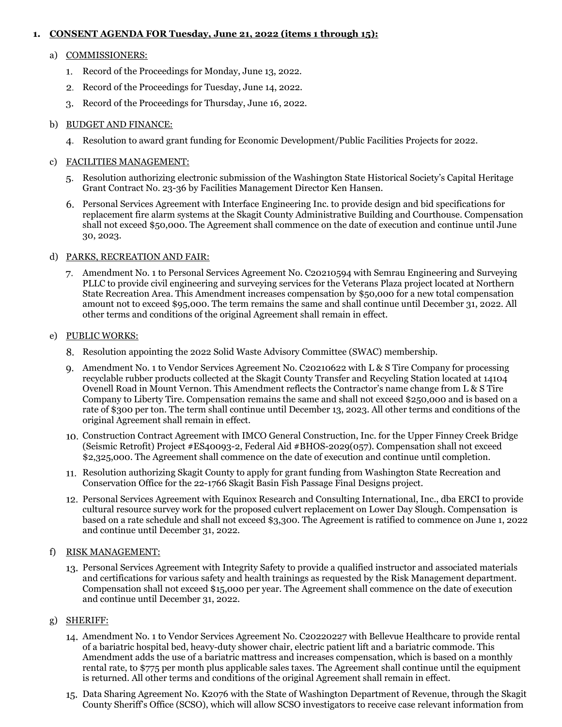## **1. CONSENT AGENDA FOR Tuesday, June 21, 2022 (items 1 through 15):**

#### a) COMMISSIONERS:

- 1. Record of the Proceedings for Monday, June 13, 2022.
- 2. Record of the Proceedings for Tuesday, June 14, 2022.
- Record of the Proceedings for Thursday, June 16, 2022.

## b) BUDGET AND FINANCE:

Resolution to award grant funding for Economic Development/Public Facilities Projects for 2022.

## c) FACILITIES MANAGEMENT:

- Resolution authorizing electronic submission of the Washington State Historical Society's Capital Heritage Grant Contract No. 23-36 by Facilities Management Director Ken Hansen.
- Personal Services Agreement with Interface Engineering Inc. to provide design and bid specifications for replacement fire alarm systems at the Skagit County Administrative Building and Courthouse. Compensation shall not exceed \$50,000. The Agreement shall commence on the date of execution and continue until June 30, 2023.

#### d) PARKS, RECREATION AND FAIR:

Amendment No. 1 to Personal Services Agreement No. C20210594 with Semrau Engineering and Surveying PLLC to provide civil engineering and surveying services for the Veterans Plaza project located at Northern State Recreation Area. This Amendment increases compensation by \$50,000 for a new total compensation amount not to exceed \$95,000. The term remains the same and shall continue until December 31, 2022. All other terms and conditions of the original Agreement shall remain in effect.

#### e) PUBLIC WORKS:

- Resolution appointing the 2022 Solid Waste Advisory Committee (SWAC) membership.
- 9. Amendment No. 1 to Vendor Services Agreement No. C20210622 with L & S Tire Company for processing recyclable rubber products collected at the Skagit County Transfer and Recycling Station located at 14104 Ovenell Road in Mount Vernon. This Amendment reflects the Contractor's name change from L & S Tire Company to Liberty Tire. Compensation remains the same and shall not exceed \$250,000 and is based on a rate of \$300 per ton. The term shall continue until December 13, 2023. All other terms and conditions of the original Agreement shall remain in effect.
- Construction Contract Agreement with IMCO General Construction, Inc. for the Upper Finney Creek Bridge (Seismic Retrofit) Project #ES40093-2, Federal Aid #BHOS-2029(057). Compensation shall not exceed \$2,325,000. The Agreement shall commence on the date of execution and continue until completion.
- 11. Resolution authorizing Skagit County to apply for grant funding from Washington State Recreation and Conservation Office for the 22-1766 Skagit Basin Fish Passage Final Designs project.
- Personal Services Agreement with Equinox Research and Consulting International, Inc., dba ERCI to provide cultural resource survey work for the proposed culvert replacement on Lower Day Slough. Compensation is based on a rate schedule and shall not exceed \$3,300. The Agreement is ratified to commence on June 1, 2022 and continue until December 31, 2022.

## f) RISK MANAGEMENT:

Personal Services Agreement with Integrity Safety to provide a qualified instructor and associated materials and certifications for various safety and health trainings as requested by the Risk Management department. Compensation shall not exceed \$15,000 per year. The Agreement shall commence on the date of execution and continue until December 31, 2022.

## g) SHERIFF:

- Amendment No. 1 to Vendor Services Agreement No. C20220227 with Bellevue Healthcare to provide rental of a bariatric hospital bed, heavy-duty shower chair, electric patient lift and a bariatric commode. This Amendment adds the use of a bariatric mattress and increases compensation, which is based on a monthly rental rate, to \$775 per month plus applicable sales taxes. The Agreement shall continue until the equipment is returned. All other terms and conditions of the original Agreement shall remain in effect.
- Data Sharing Agreement No. K2076 with the State of Washington Department of Revenue, through the Skagit County Sheriff's Office (SCSO), which will allow SCSO investigators to receive case relevant information from